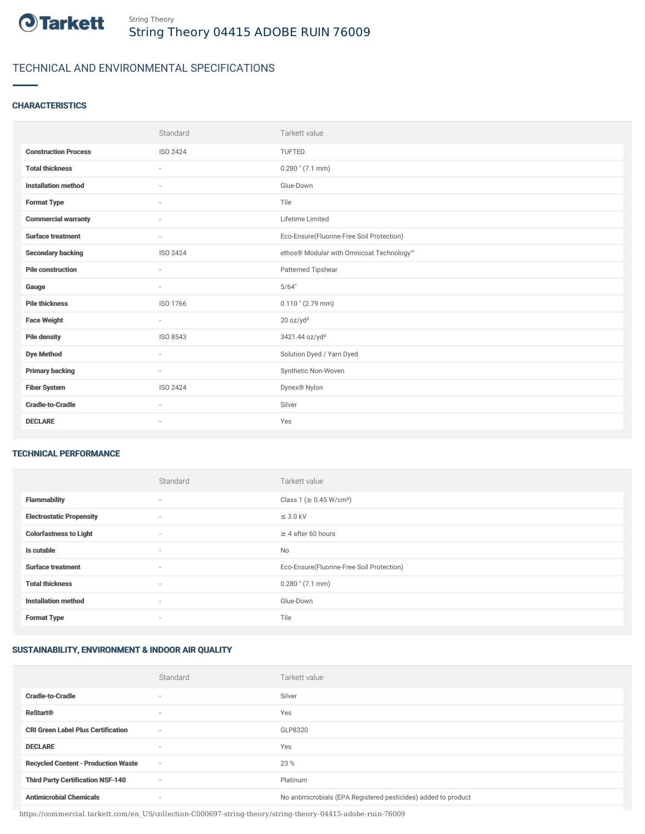

# TECHNICAL AND ENVIRONMENTAL SPECIFICATIONS

# **CHARACTERISTICS**

|                             | Standard                 | Tarkett value                             |
|-----------------------------|--------------------------|-------------------------------------------|
| <b>Construction Process</b> | ISO 2424                 | <b>TUFTED</b>                             |
| <b>Total thickness</b>      | $\overline{\phantom{a}}$ | $0.280$ " (7.1 mm)                        |
| <b>Installation method</b>  | ÷.                       | Glue-Down                                 |
| <b>Format Type</b>          | ٠                        | Tile                                      |
| <b>Commercial warranty</b>  | ٠                        | Lifetime Limited                          |
| <b>Surface treatment</b>    | $\sim$                   | Eco-Ensure(Fluorine-Free Soil Protection) |
| <b>Secondary backing</b>    | ISO 2424                 | ethos® Modular with Omnicoat Technology™  |
| <b>Pile construction</b>    | ٠                        | Patterned Tipshear                        |
| Gauge                       | $\sim$                   | 5/64"                                     |
| <b>Pile thickness</b>       | ISO 1766                 | $0.110$ " (2.79 mm)                       |
| <b>Face Weight</b>          | $\sim$                   | 20 oz/yd <sup>2</sup>                     |
| <b>Pile density</b>         | ISO 8543                 | 3421.44 oz/yd <sup>3</sup>                |
| <b>Dye Method</b>           | $\sim$                   | Solution Dyed / Yarn Dyed                 |
| <b>Primary backing</b>      | $\sim$                   | Synthetic Non-Woven                       |
| <b>Fiber System</b>         | ISO 2424                 | Dynex® Nylon                              |
| <b>Cradle-to-Cradle</b>     | $\overline{\phantom{a}}$ | Silver                                    |
| <b>DECLARE</b>              | $\overline{\phantom{a}}$ | Yes                                       |

#### TECHNICAL PERFORMANCE

|                                 | Standard                 | Tarkett value                             |
|---------------------------------|--------------------------|-------------------------------------------|
| <b>Flammability</b>             | $\overline{\phantom{a}}$ | Class 1 (≥ 0.45 W/cm <sup>2</sup> )       |
| <b>Electrostatic Propensity</b> | $\sim$                   | $\leq$ 3.0 kV                             |
| <b>Colorfastness to Light</b>   | ۰                        | $\geq 4$ after 60 hours                   |
| Is cutable                      | $\sim$                   | No                                        |
| <b>Surface treatment</b>        | $\sim$                   | Eco-Ensure(Fluorine-Free Soil Protection) |
| <b>Total thickness</b>          | $\sim$                   | $0.280$ " (7.1 mm)                        |
| <b>Installation method</b>      | $\sim$                   | Glue-Down                                 |
| <b>Format Type</b>              | ۰                        | Tile                                      |

### SUSTAINABILITY, ENVIRONMENT & INDOOR AIR QUALITY

|                                            | Standard                 | Tarkett value                                                  |
|--------------------------------------------|--------------------------|----------------------------------------------------------------|
| <b>Cradle-to-Cradle</b>                    | $\overline{\phantom{a}}$ | Silver                                                         |
| <b>ReStart<sup>®</sup></b>                 | $\overline{\phantom{a}}$ | Yes                                                            |
| <b>CRI Green Label Plus Certification</b>  | ٠                        | GLP8320                                                        |
| <b>DECLARE</b>                             | $\overline{\phantom{a}}$ | Yes                                                            |
| <b>Recycled Content - Production Waste</b> | $\sim$                   | 23 %                                                           |
| <b>Third Party Certification NSF-140</b>   | $\sim$                   | Platinum                                                       |
| <b>Antimicrobial Chemicals</b>             | $\overline{\phantom{a}}$ | No antimicrobials (EPA Registered pesticides) added to product |

https://commercial.tarkett.com/en\_US/collection-C000697-string-theory/string-theory-04415-adobe-ruin-76009